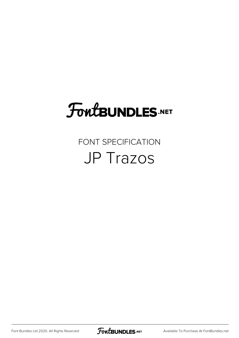# FoutBUNDLES.NET

## FONT SPECIFICATION JP Trazos

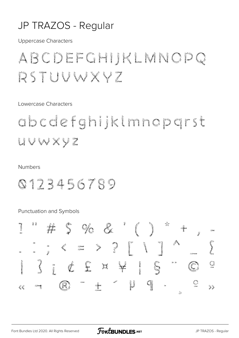#### JP TRAZOS - Regular

**Uppercase Characters** 

# ABCDEFGHIJKLMNOPQ RSTUVWXVZ

Lowercase Characters

abcdefghijklmnopgrst UVWXYZ

#### **Numbers**

### 0123456789

Punctuation and Symbols

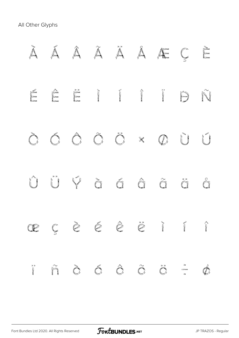All Other Glyphs